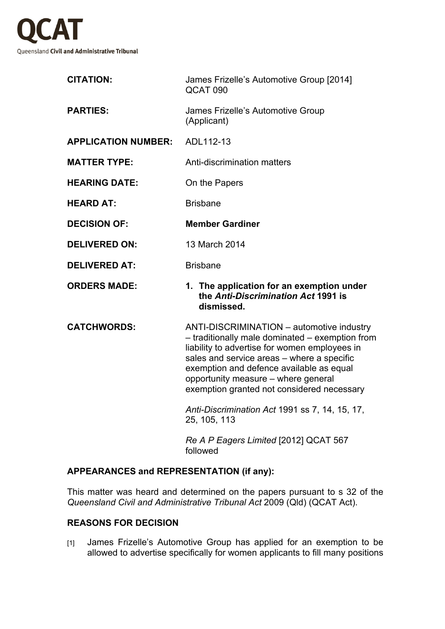

| <b>CITATION:</b>           | James Frizelle's Automotive Group [2014]<br>QCAT 090                                                                                                                                                                                                                                                                         |
|----------------------------|------------------------------------------------------------------------------------------------------------------------------------------------------------------------------------------------------------------------------------------------------------------------------------------------------------------------------|
| <b>PARTIES:</b>            | James Frizelle's Automotive Group<br>(Applicant)                                                                                                                                                                                                                                                                             |
| <b>APPLICATION NUMBER:</b> | ADL112-13                                                                                                                                                                                                                                                                                                                    |
| <b>MATTER TYPE:</b>        | Anti-discrimination matters                                                                                                                                                                                                                                                                                                  |
| <b>HEARING DATE:</b>       | On the Papers                                                                                                                                                                                                                                                                                                                |
| <b>HEARD AT:</b>           | <b>Brisbane</b>                                                                                                                                                                                                                                                                                                              |
| <b>DECISION OF:</b>        | <b>Member Gardiner</b>                                                                                                                                                                                                                                                                                                       |
| <b>DELIVERED ON:</b>       | 13 March 2014                                                                                                                                                                                                                                                                                                                |
| <b>DELIVERED AT:</b>       | <b>Brisbane</b>                                                                                                                                                                                                                                                                                                              |
| <b>ORDERS MADE:</b>        | 1. The application for an exemption under<br>the Anti-Discrimination Act 1991 is<br>dismissed.                                                                                                                                                                                                                               |
| <b>CATCHWORDS:</b>         | ANTI-DISCRIMINATION - automotive industry<br>- traditionally male dominated - exemption from<br>liability to advertise for women employees in<br>sales and service areas - where a specific<br>exemption and defence available as equal<br>opportunity measure - where general<br>exemption granted not considered necessary |
|                            | Anti-Discrimination Act 1991 ss 7, 14, 15, 17,<br>25, 105, 113                                                                                                                                                                                                                                                               |
|                            | Re A P Eagers Limited [2012] QCAT 567<br>followed                                                                                                                                                                                                                                                                            |

## **APPEARANCES and REPRESENTATION (if any):**

This matter was heard and determined on the papers pursuant to s 32 of the *Queensland Civil and Administrative Tribunal Act* 2009 (Qld) (QCAT Act).

## **REASONS FOR DECISION**

[1] James Frizelle's Automotive Group has applied for an exemption to be allowed to advertise specifically for women applicants to fill many positions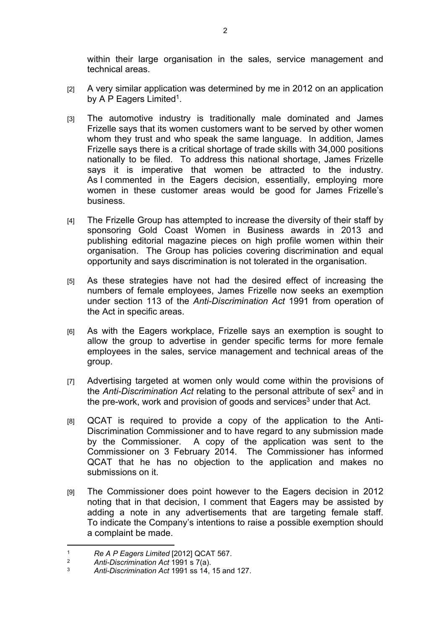within their large organisation in the sales, service management and technical areas.

- [2] A very similar application was determined by me in 2012 on an application by A P Eagers Limited<sup>1</sup>.
- [3] The automotive industry is traditionally male dominated and James Frizelle says that its women customers want to be served by other women whom they trust and who speak the same language. In addition, James Frizelle says there is a critical shortage of trade skills with 34,000 positions nationally to be filed. To address this national shortage, James Frizelle says it is imperative that women be attracted to the industry. As I commented in the Eagers decision, essentially, employing more women in these customer areas would be good for James Frizelle's business.
- [4] The Frizelle Group has attempted to increase the diversity of their staff by sponsoring Gold Coast Women in Business awards in 2013 and publishing editorial magazine pieces on high profile women within their organisation. The Group has policies covering discrimination and equal opportunity and says discrimination is not tolerated in the organisation.
- [5] As these strategies have not had the desired effect of increasing the numbers of female employees, James Frizelle now seeks an exemption under section 113 of the *Anti-Discrimination Act* 1991 from operation of the Act in specific areas.
- [6] As with the Eagers workplace, Frizelle says an exemption is sought to allow the group to advertise in gender specific terms for more female employees in the sales, service management and technical areas of the group.
- [7] Advertising targeted at women only would come within the provisions of the Anti-Discrimination Act relating to the personal attribute of sex<sup>2</sup> and in the pre-work, work and provision of goods and services<sup>3</sup> under that Act.
- [8] QCAT is required to provide a copy of the application to the Anti-Discrimination Commissioner and to have regard to any submission made by the Commissioner. A copy of the application was sent to the Commissioner on 3 February 2014. The Commissioner has informed QCAT that he has no objection to the application and makes no submissions on it.
- [9] The Commissioner does point however to the Eagers decision in 2012 noting that in that decision, I comment that Eagers may be assisted by adding a note in any advertisements that are targeting female staff. To indicate the Company's intentions to raise a possible exemption should a complaint be made.

<sup>&</sup>lt;sup>1</sup> *Re A P Eagers Limited* [2012] QCAT 567.<br><sup>2</sup> *Anti-Discrimination Act* 1991 s 7(a)

<sup>2</sup> *Anti-Discrimination Act* 1991 s 7(a).

<sup>3</sup> *Anti-Discrimination Act* 1991 ss 14, 15 and 127.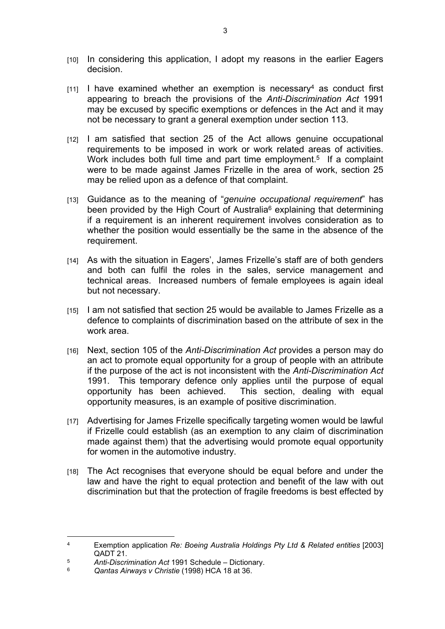- [10] In considering this application, I adopt my reasons in the earlier Eagers decision.
- $[11]$  I have examined whether an exemption is necessary<sup>4</sup> as conduct first appearing to breach the provisions of the *Anti-Discrimination Act* 1991 may be excused by specific exemptions or defences in the Act and it may not be necessary to grant a general exemption under section 113.
- [12] I am satisfied that section 25 of the Act allows genuine occupational requirements to be imposed in work or work related areas of activities. Work includes both full time and part time employment.<sup>5</sup> If a complaint were to be made against James Frizelle in the area of work, section 25 may be relied upon as a defence of that complaint.
- [13] Guidance as to the meaning of "*genuine occupational requirement*" has been provided by the High Court of Australia<sup>6</sup> explaining that determining if a requirement is an inherent requirement involves consideration as to whether the position would essentially be the same in the absence of the requirement.
- [14] As with the situation in Eagers', James Frizelle's staff are of both genders and both can fulfil the roles in the sales, service management and technical areas. Increased numbers of female employees is again ideal but not necessary.
- [15] I am not satisfied that section 25 would be available to James Frizelle as a defence to complaints of discrimination based on the attribute of sex in the work area.
- [16] Next, section 105 of the *Anti-Discrimination Act* provides a person may do an act to promote equal opportunity for a group of people with an attribute if the purpose of the act is not inconsistent with the *Anti-Discrimination Act*  1991. This temporary defence only applies until the purpose of equal opportunity has been achieved. This section, dealing with equal opportunity measures, is an example of positive discrimination.
- [17] Advertising for James Frizelle specifically targeting women would be lawful if Frizelle could establish (as an exemption to any claim of discrimination made against them) that the advertising would promote equal opportunity for women in the automotive industry.
- [18] The Act recognises that everyone should be equal before and under the law and have the right to equal protection and benefit of the law with out discrimination but that the protection of fragile freedoms is best effected by

<sup>4</sup> Exemption application *Re: Boeing Australia Holdings Pty Ltd & Related entities* [2003] QADT 21.

<sup>5</sup> *Anti-Discrimination Act* 1991 Schedule – Dictionary.

<sup>6</sup> *Qantas Airways v Christie* (1998) HCA 18 at 36.